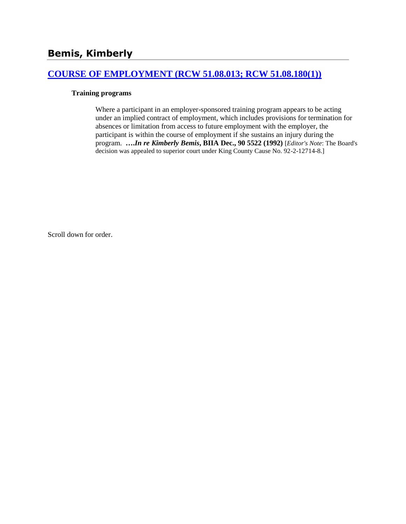# **[COURSE OF EMPLOYMENT \(RCW 51.08.013; RCW 51.08.180\(1\)\)](http://www.biia.wa.gov/SDSubjectIndex.html#COURSE_OF_EMPLOYMENT)**

#### **Training programs**

Where a participant in an employer-sponsored training program appears to be acting under an implied contract of employment, which includes provisions for termination for absences or limitation from access to future employment with the employer, the participant is within the course of employment if she sustains an injury during the program. **….***In re Kimberly Bemis***, BIIA Dec., 90 5522 (1992)** [*Editor's Note*: The Board's decision was appealed to superior court under King County Cause No. 92-2-12714-8.]

Scroll down for order.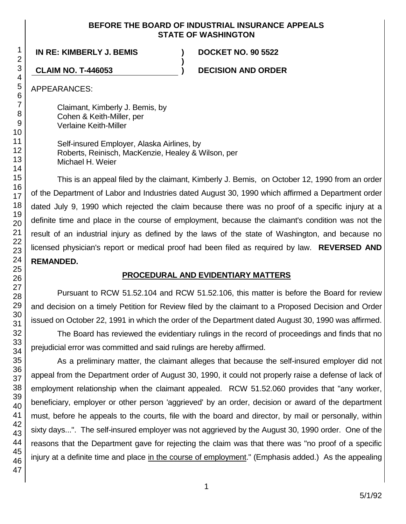### **BEFORE THE BOARD OF INDUSTRIAL INSURANCE APPEALS STATE OF WASHINGTON**

**)**

**IN RE: KIMBERLY J. BEMIS ) DOCKET NO. 90 5522**

**CLAIM NO. T-446053 ) DECISION AND ORDER**

APPEARANCES:

Claimant, Kimberly J. Bemis, by Cohen & Keith-Miller, per Verlaine Keith-Miller

Self-insured Employer, Alaska Airlines, by Roberts, Reinisch, MacKenzie, Healey & Wilson, per Michael H. Weier

This is an appeal filed by the claimant, Kimberly J. Bemis, on October 12, 1990 from an order of the Department of Labor and Industries dated August 30, 1990 which affirmed a Department order dated July 9, 1990 which rejected the claim because there was no proof of a specific injury at a definite time and place in the course of employment, because the claimant's condition was not the result of an industrial injury as defined by the laws of the state of Washington, and because no licensed physician's report or medical proof had been filed as required by law. **REVERSED AND REMANDED.**

# **PROCEDURAL AND EVIDENTIARY MATTERS**

Pursuant to RCW 51.52.104 and RCW 51.52.106, this matter is before the Board for review and decision on a timely Petition for Review filed by the claimant to a Proposed Decision and Order issued on October 22, 1991 in which the order of the Department dated August 30, 1990 was affirmed.

The Board has reviewed the evidentiary rulings in the record of proceedings and finds that no prejudicial error was committed and said rulings are hereby affirmed.

As a preliminary matter, the claimant alleges that because the self-insured employer did not appeal from the Department order of August 30, 1990, it could not properly raise a defense of lack of employment relationship when the claimant appealed. RCW 51.52.060 provides that "any worker, beneficiary, employer or other person 'aggrieved' by an order, decision or award of the department must, before he appeals to the courts, file with the board and director, by mail or personally, within sixty days...". The self-insured employer was not aggrieved by the August 30, 1990 order. One of the reasons that the Department gave for rejecting the claim was that there was "no proof of a specific injury at a definite time and place in the course of employment." (Emphasis added.) As the appealing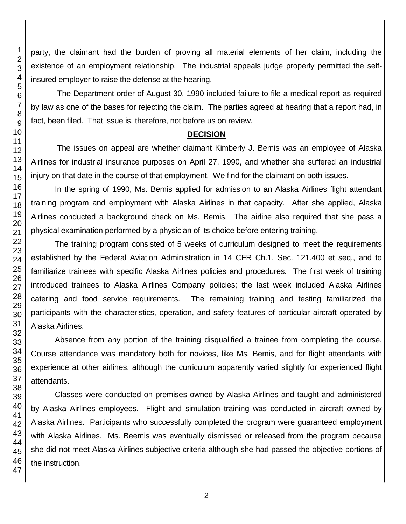party, the claimant had the burden of proving all material elements of her claim, including the existence of an employment relationship. The industrial appeals judge properly permitted the selfinsured employer to raise the defense at the hearing.

The Department order of August 30, 1990 included failure to file a medical report as required by law as one of the bases for rejecting the claim. The parties agreed at hearing that a report had, in fact, been filed. That issue is, therefore, not before us on review.

## **DECISION**

The issues on appeal are whether claimant Kimberly J. Bemis was an employee of Alaska Airlines for industrial insurance purposes on April 27, 1990, and whether she suffered an industrial injury on that date in the course of that employment. We find for the claimant on both issues.

In the spring of 1990, Ms. Bemis applied for admission to an Alaska Airlines flight attendant training program and employment with Alaska Airlines in that capacity. After she applied, Alaska Airlines conducted a background check on Ms. Bemis. The airline also required that she pass a physical examination performed by a physician of its choice before entering training.

The training program consisted of 5 weeks of curriculum designed to meet the requirements established by the Federal Aviation Administration in 14 CFR Ch.1, Sec. 121.400 et seq., and to familiarize trainees with specific Alaska Airlines policies and procedures. The first week of training introduced trainees to Alaska Airlines Company policies; the last week included Alaska Airlines catering and food service requirements. The remaining training and testing familiarized the participants with the characteristics, operation, and safety features of particular aircraft operated by Alaska Airlines.

Absence from any portion of the training disqualified a trainee from completing the course. Course attendance was mandatory both for novices, like Ms. Bemis, and for flight attendants with experience at other airlines, although the curriculum apparently varied slightly for experienced flight attendants.

Classes were conducted on premises owned by Alaska Airlines and taught and administered by Alaska Airlines employees. Flight and simulation training was conducted in aircraft owned by Alaska Airlines. Participants who successfully completed the program were guaranteed employment with Alaska Airlines. Ms. Beemis was eventually dismissed or released from the program because she did not meet Alaska Airlines subjective criteria although she had passed the objective portions of the instruction.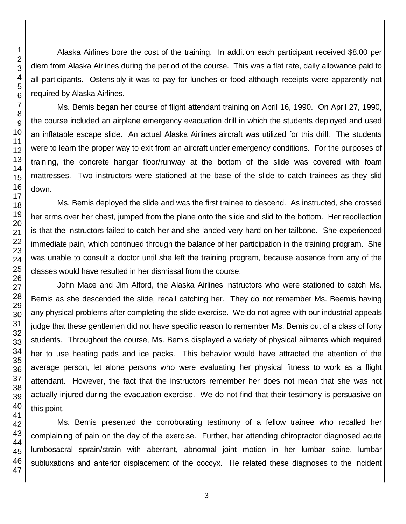Alaska Airlines bore the cost of the training. In addition each participant received \$8.00 per diem from Alaska Airlines during the period of the course. This was a flat rate, daily allowance paid to all participants. Ostensibly it was to pay for lunches or food although receipts were apparently not required by Alaska Airlines.

Ms. Bemis began her course of flight attendant training on April 16, 1990. On April 27, 1990, the course included an airplane emergency evacuation drill in which the students deployed and used an inflatable escape slide. An actual Alaska Airlines aircraft was utilized for this drill. The students were to learn the proper way to exit from an aircraft under emergency conditions. For the purposes of training, the concrete hangar floor/runway at the bottom of the slide was covered with foam mattresses. Two instructors were stationed at the base of the slide to catch trainees as they slid down.

Ms. Bemis deployed the slide and was the first trainee to descend. As instructed, she crossed her arms over her chest, jumped from the plane onto the slide and slid to the bottom. Her recollection is that the instructors failed to catch her and she landed very hard on her tailbone. She experienced immediate pain, which continued through the balance of her participation in the training program. She was unable to consult a doctor until she left the training program, because absence from any of the classes would have resulted in her dismissal from the course.

John Mace and Jim Alford, the Alaska Airlines instructors who were stationed to catch Ms. Bemis as she descended the slide, recall catching her. They do not remember Ms. Beemis having any physical problems after completing the slide exercise. We do not agree with our industrial appeals judge that these gentlemen did not have specific reason to remember Ms. Bemis out of a class of forty students. Throughout the course, Ms. Bemis displayed a variety of physical ailments which required her to use heating pads and ice packs. This behavior would have attracted the attention of the average person, let alone persons who were evaluating her physical fitness to work as a flight attendant. However, the fact that the instructors remember her does not mean that she was not actually injured during the evacuation exercise. We do not find that their testimony is persuasive on this point.

Ms. Bemis presented the corroborating testimony of a fellow trainee who recalled her complaining of pain on the day of the exercise. Further, her attending chiropractor diagnosed acute lumbosacral sprain/strain with aberrant, abnormal joint motion in her lumbar spine, lumbar subluxations and anterior displacement of the coccyx. He related these diagnoses to the incident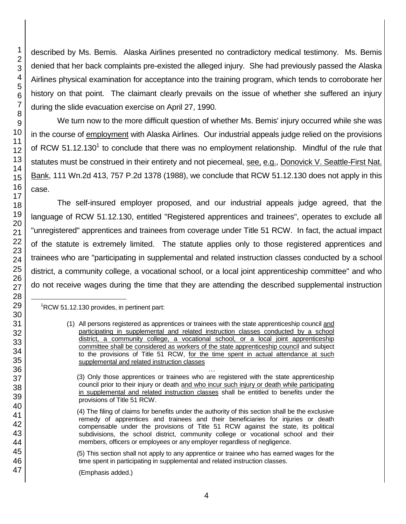described by Ms. Bemis. Alaska Airlines presented no contradictory medical testimony. Ms. Bemis denied that her back complaints pre-existed the alleged injury. She had previously passed the Alaska Airlines physical examination for acceptance into the training program, which tends to corroborate her history on that point. The claimant clearly prevails on the issue of whether she suffered an injury during the slide evacuation exercise on April 27, 1990.

We turn now to the more difficult question of whether Ms. Bemis' injury occurred while she was in the course of employment with Alaska Airlines. Our industrial appeals judge relied on the provisions of RCW 51.12.130<sup>1</sup> to conclude that there was no employment relationship. Mindful of the rule that statutes must be construed in their entirety and not piecemeal, see, e.g., Donovick V. Seattle-First Nat. Bank, 111 Wn.2d 413, 757 P.2d 1378 (1988), we conclude that RCW 51.12.130 does not apply in this case.

The self-insured employer proposed, and our industrial appeals judge agreed, that the language of RCW 51.12.130, entitled "Registered apprentices and trainees", operates to exclude all "unregistered" apprentices and trainees from coverage under Title 51 RCW. In fact, the actual impact of the statute is extremely limited. The statute applies only to those registered apprentices and trainees who are "participating in supplemental and related instruction classes conducted by a school district, a community college, a vocational school, or a local joint apprenticeship committee" and who do not receive wages during the time that they are attending the described supplemental instruction

 $1^1$ RCW 51.12.130 provides, in pertinent part:

(Emphasis added.)

l

<sup>(1)</sup> All persons registered as apprentices or trainees with the state apprenticeship council and participating in supplemental and related instruction classes conducted by a school district, a community college, a vocational school, or a local joint apprenticeship committee shall be considered as workers of the state apprenticeship council and subject to the provisions of Title 51 RCW, for the time spent in actual attendance at such supplemental and related instruction classes

<sup>…</sup> (3) Only those apprentices or trainees who are registered with the state apprenticeship council prior to their injury or death and who incur such injury or death while participating in supplemental and related instruction classes shall be entitled to benefits under the provisions of Title 51 RCW.

 <sup>(4)</sup> The filing of claims for benefits under the authority of this section shall be the exclusive remedy of apprentices and trainees and their beneficiaries for injuries or death compensable under the provisions of Title 51 RCW against the state, its political subdivisions, the school district, community college or vocational school and their members, officers or employees or any employer regardless of negligence.

 <sup>(5)</sup> This section shall not apply to any apprentice or trainee who has earned wages for the time spent in participating in supplemental and related instruction classes.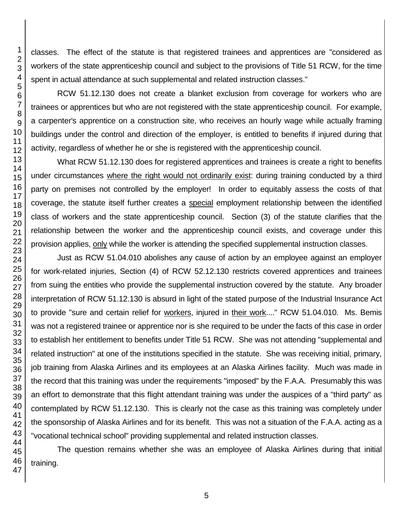classes. The effect of the statute is that registered trainees and apprentices are "considered as workers of the state apprenticeship council and subject to the provisions of Title 51 RCW, for the time spent in actual attendance at such supplemental and related instruction classes."

RCW 51.12.130 does not create a blanket exclusion from coverage for workers who are trainees or apprentices but who are not registered with the state apprenticeship council. For example, a carpenter's apprentice on a construction site, who receives an hourly wage while actually framing buildings under the control and direction of the employer, is entitled to benefits if injured during that activity, regardless of whether he or she is registered with the apprenticeship council.

What RCW 51.12.130 does for registered apprentices and trainees is create a right to benefits under circumstances where the right would not ordinarily exist: during training conducted by a third party on premises not controlled by the employer! In order to equitably assess the costs of that coverage, the statute itself further creates a special employment relationship between the identified class of workers and the state apprenticeship council. Section (3) of the statute clarifies that the relationship between the worker and the apprenticeship council exists, and coverage under this provision applies, only while the worker is attending the specified supplemental instruction classes.

Just as RCW 51.04.010 abolishes any cause of action by an employee against an employer for work-related injuries, Section (4) of RCW 52.12.130 restricts covered apprentices and trainees from suing the entities who provide the supplemental instruction covered by the statute. Any broader interpretation of RCW 51.12.130 is absurd in light of the stated purpose of the Industrial Insurance Act to provide "sure and certain relief for workers, injured in their work...." RCW 51.04.010. Ms. Bemis was not a registered trainee or apprentice nor is she required to be under the facts of this case in order to establish her entitlement to benefits under Title 51 RCW. She was not attending "supplemental and related instruction" at one of the institutions specified in the statute. She was receiving initial, primary, job training from Alaska Airlines and its employees at an Alaska Airlines facility. Much was made in the record that this training was under the requirements "imposed" by the F.A.A. Presumably this was an effort to demonstrate that this flight attendant training was under the auspices of a "third party" as contemplated by RCW 51.12.130. This is clearly not the case as this training was completely under the sponsorship of Alaska Airlines and for its benefit. This was not a situation of the F.A.A. acting as a "vocational technical school" providing supplemental and related instruction classes.

The question remains whether she was an employee of Alaska Airlines during that initial training.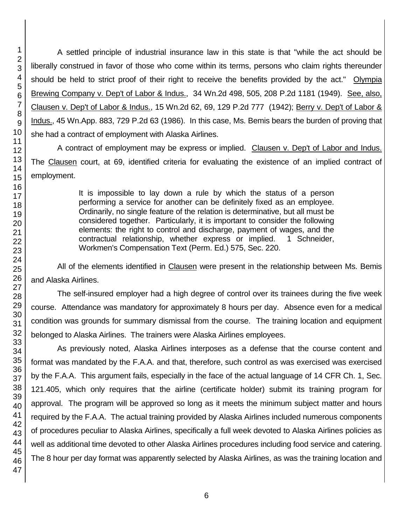A settled principle of industrial insurance law in this state is that "while the act should be liberally construed in favor of those who come within its terms, persons who claim rights thereunder should be held to strict proof of their right to receive the benefits provided by the act." Olympia Brewing Company v. Dep't of Labor & Indus., 34 Wn.2d 498, 505, 208 P.2d 1181 (1949). See, also, Clausen v. Dep't of Labor & Indus., 15 Wn.2d 62, 69, 129 P.2d 777 (1942); Berry v. Dep't of Labor & Indus., 45 Wn.App. 883, 729 P.2d 63 (1986). In this case, Ms. Bemis bears the burden of proving that she had a contract of employment with Alaska Airlines.

A contract of employment may be express or implied. Clausen v. Dep't of Labor and Indus. The Clausen court, at 69, identified criteria for evaluating the existence of an implied contract of employment.

> It is impossible to lay down a rule by which the status of a person performing a service for another can be definitely fixed as an employee. Ordinarily, no single feature of the relation is determinative, but all must be considered together. Particularly, it is important to consider the following elements: the right to control and discharge, payment of wages, and the contractual relationship, whether express or implied. 1 Schneider, Workmen's Compensation Text (Perm. Ed.) 575, Sec. 220.

All of the elements identified in Clausen were present in the relationship between Ms. Bemis and Alaska Airlines.

The self-insured employer had a high degree of control over its trainees during the five week course. Attendance was mandatory for approximately 8 hours per day. Absence even for a medical condition was grounds for summary dismissal from the course. The training location and equipment belonged to Alaska Airlines. The trainers were Alaska Airlines employees.

As previously noted, Alaska Airlines interposes as a defense that the course content and format was mandated by the F.A.A. and that, therefore, such control as was exercised was exercised by the F.A.A. This argument fails, especially in the face of the actual language of 14 CFR Ch. 1, Sec. 121.405, which only requires that the airline (certificate holder) submit its training program for approval. The program will be approved so long as it meets the minimum subject matter and hours required by the F.A.A. The actual training provided by Alaska Airlines included numerous components of procedures peculiar to Alaska Airlines, specifically a full week devoted to Alaska Airlines policies as well as additional time devoted to other Alaska Airlines procedures including food service and catering. The 8 hour per day format was apparently selected by Alaska Airlines, as was the training location and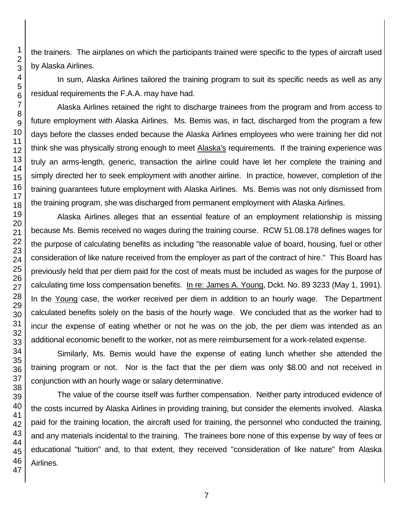the trainers. The airplanes on which the participants trained were specific to the types of aircraft used by Alaska Airlines.

In sum, Alaska Airlines tailored the training program to suit its specific needs as well as any residual requirements the F.A.A. may have had.

Alaska Airlines retained the right to discharge trainees from the program and from access to future employment with Alaska Airlines. Ms. Bemis was, in fact, discharged from the program a few days before the classes ended because the Alaska Airlines employees who were training her did not think she was physically strong enough to meet Alaska's requirements. If the training experience was truly an arms-length, generic, transaction the airline could have let her complete the training and simply directed her to seek employment with another airline. In practice, however, completion of the training guarantees future employment with Alaska Airlines. Ms. Bemis was not only dismissed from the training program, she was discharged from permanent employment with Alaska Airlines.

Alaska Airlines alleges that an essential feature of an employment relationship is missing because Ms. Bemis received no wages during the training course. RCW 51.08.178 defines wages for the purpose of calculating benefits as including "the reasonable value of board, housing, fuel or other consideration of like nature received from the employer as part of the contract of hire." This Board has previously held that per diem paid for the cost of meals must be included as wages for the purpose of calculating time loss compensation benefits. In re: James A. Young, Dckt. No. 89 3233 (May 1, 1991). In the Young case, the worker received per diem in addition to an hourly wage. The Department calculated benefits solely on the basis of the hourly wage. We concluded that as the worker had to incur the expense of eating whether or not he was on the job, the per diem was intended as an additional economic benefit to the worker, not as mere reimbursement for a work-related expense.

Similarly, Ms. Bemis would have the expense of eating lunch whether she attended the training program or not. Nor is the fact that the per diem was only \$8.00 and not received in conjunction with an hourly wage or salary determinative.

The value of the course itself was further compensation. Neither party introduced evidence of the costs incurred by Alaska Airlines in providing training, but consider the elements involved. Alaska paid for the training location, the aircraft used for training, the personnel who conducted the training, and any materials incidental to the training. The trainees bore none of this expense by way of fees or educational "tuition" and, to that extent, they received "consideration of like nature" from Alaska Airlines.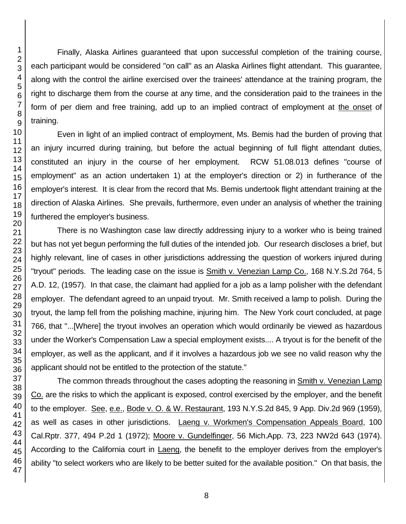Finally, Alaska Airlines guaranteed that upon successful completion of the training course, each participant would be considered "on call" as an Alaska Airlines flight attendant. This guarantee, along with the control the airline exercised over the trainees' attendance at the training program, the right to discharge them from the course at any time, and the consideration paid to the trainees in the form of per diem and free training, add up to an implied contract of employment at the onset of training.

Even in light of an implied contract of employment, Ms. Bemis had the burden of proving that an injury incurred during training, but before the actual beginning of full flight attendant duties, constituted an injury in the course of her employment. RCW 51.08.013 defines "course of employment" as an action undertaken 1) at the employer's direction or 2) in furtherance of the employer's interest. It is clear from the record that Ms. Bemis undertook flight attendant training at the direction of Alaska Airlines. She prevails, furthermore, even under an analysis of whether the training furthered the employer's business.

There is no Washington case law directly addressing injury to a worker who is being trained but has not yet begun performing the full duties of the intended job. Our research discloses a brief, but highly relevant, line of cases in other jurisdictions addressing the question of workers injured during "tryout" periods. The leading case on the issue is Smith v. Venezian Lamp Co., 168 N.Y.S.2d 764, 5 A.D. 12, (1957). In that case, the claimant had applied for a job as a lamp polisher with the defendant employer. The defendant agreed to an unpaid tryout. Mr. Smith received a lamp to polish. During the tryout, the lamp fell from the polishing machine, injuring him. The New York court concluded, at page 766, that "...[Where] the tryout involves an operation which would ordinarily be viewed as hazardous under the Worker's Compensation Law a special employment exists.... A tryout is for the benefit of the employer, as well as the applicant, and if it involves a hazardous job we see no valid reason why the applicant should not be entitled to the protection of the statute."

The common threads throughout the cases adopting the reasoning in Smith v. Venezian Lamp Co. are the risks to which the applicant is exposed, control exercised by the employer, and the benefit to the employer. See, e.e., Bode v. O. & W. Restaurant, 193 N.Y.S.2d 845, 9 App. Div.2d 969 (1959), as well as cases in other jurisdictions. Laeng v. Workmen's Compensation Appeals Board, 100 Cal.Rptr. 377, 494 P.2d 1 (1972); Moore v. Gundelfinger, 56 Mich.App. 73, 223 NW2d 643 (1974). According to the California court in Laeng, the benefit to the employer derives from the employer's ability "to select workers who are likely to be better suited for the available position." On that basis, the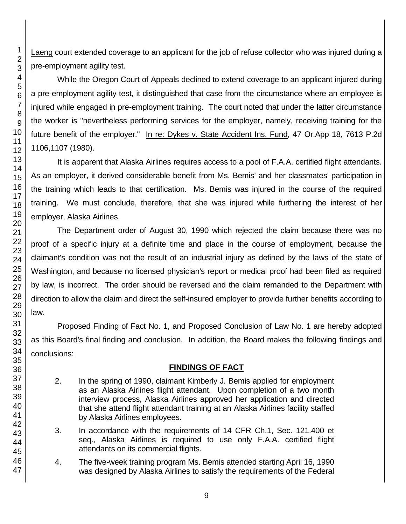Laeng court extended coverage to an applicant for the job of refuse collector who was injured during a pre-employment agility test.

While the Oregon Court of Appeals declined to extend coverage to an applicant injured during a pre-employment agility test, it distinguished that case from the circumstance where an employee is injured while engaged in pre-employment training. The court noted that under the latter circumstance the worker is "nevertheless performing services for the employer, namely, receiving training for the future benefit of the employer." In re: Dykes v. State Accident Ins. Fund, 47 Or.App 18, 7613 P.2d 1106,1107 (1980).

It is apparent that Alaska Airlines requires access to a pool of F.A.A. certified flight attendants. As an employer, it derived considerable benefit from Ms. Bemis' and her classmates' participation in the training which leads to that certification. Ms. Bemis was injured in the course of the required training. We must conclude, therefore, that she was injured while furthering the interest of her employer, Alaska Airlines.

The Department order of August 30, 1990 which rejected the claim because there was no proof of a specific injury at a definite time and place in the course of employment, because the claimant's condition was not the result of an industrial injury as defined by the laws of the state of Washington, and because no licensed physician's report or medical proof had been filed as required by law, is incorrect. The order should be reversed and the claim remanded to the Department with direction to allow the claim and direct the self-insured employer to provide further benefits according to law.

Proposed Finding of Fact No. 1, and Proposed Conclusion of Law No. 1 are hereby adopted as this Board's final finding and conclusion. In addition, the Board makes the following findings and conclusions:

# **FINDINGS OF FACT**

- 2. In the spring of 1990, claimant Kimberly J. Bemis applied for employment as an Alaska Airlines flight attendant. Upon completion of a two month interview process, Alaska Airlines approved her application and directed that she attend flight attendant training at an Alaska Airlines facility staffed by Alaska Airlines employees.
- 3. In accordance with the requirements of 14 CFR Ch.1, Sec. 121.400 et seq., Alaska Airlines is required to use only F.A.A. certified flight attendants on its commercial flights.
- 4. The five-week training program Ms. Bemis attended starting April 16, 1990 was designed by Alaska Airlines to satisfy the requirements of the Federal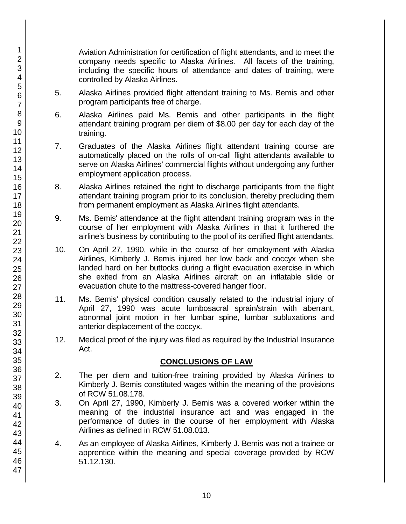Aviation Administration for certification of flight attendants, and to meet the company needs specific to Alaska Airlines. All facets of the training, including the specific hours of attendance and dates of training, were controlled by Alaska Airlines.

- 5. Alaska Airlines provided flight attendant training to Ms. Bemis and other program participants free of charge.
- 6. Alaska Airlines paid Ms. Bemis and other participants in the flight attendant training program per diem of \$8.00 per day for each day of the training.
- 7. Graduates of the Alaska Airlines flight attendant training course are automatically placed on the rolls of on-call flight attendants available to serve on Alaska Airlines' commercial flights without undergoing any further employment application process.
- 8. Alaska Airlines retained the right to discharge participants from the flight attendant training program prior to its conclusion, thereby precluding them from permanent employment as Alaska Airlines flight attendants.
- 9. Ms. Bemis' attendance at the flight attendant training program was in the course of her employment with Alaska Airlines in that it furthered the airline's business by contributing to the pool of its certified flight attendants.
- 10. On April 27, 1990, while in the course of her employment with Alaska Airlines, Kimberly J. Bemis injured her low back and coccyx when she landed hard on her buttocks during a flight evacuation exercise in which she exited from an Alaska Airlines aircraft on an inflatable slide or evacuation chute to the mattress-covered hanger floor.
- 11. Ms. Bemis' physical condition causally related to the industrial injury of April 27, 1990 was acute lumbosacral sprain/strain with aberrant, abnormal joint motion in her lumbar spine, lumbar subluxations and anterior displacement of the coccyx.
- 12. Medical proof of the injury was filed as required by the Industrial Insurance Act.

# **CONCLUSIONS OF LAW**

- 2. The per diem and tuition-free training provided by Alaska Airlines to Kimberly J. Bemis constituted wages within the meaning of the provisions of RCW 51.08.178.
- 3. On April 27, 1990, Kimberly J. Bemis was a covered worker within the meaning of the industrial insurance act and was engaged in the performance of duties in the course of her employment with Alaska Airlines as defined in RCW 51.08.013.
- 4. As an employee of Alaska Airlines, Kimberly J. Bemis was not a trainee or apprentice within the meaning and special coverage provided by RCW 51.12.130.